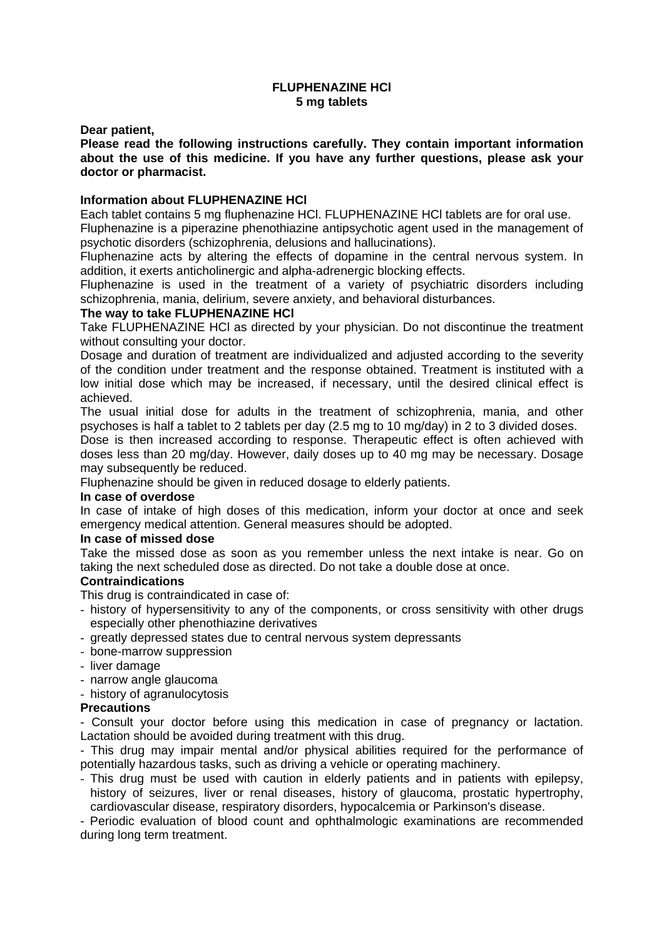# **FLUPHENAZINE HCl 5 mg tablets**

**Dear patient,** 

**Please read the following instructions carefully. They contain important information about the use of this medicine. If you have any further questions, please ask your doctor or pharmacist.** 

#### **Information about FLUPHENAZINE HCl**

Each tablet contains 5 mg fluphenazine HCl. FLUPHENAZINE HCl tablets are for oral use. Fluphenazine is a piperazine phenothiazine antipsychotic agent used in the management of psychotic disorders (schizophrenia, delusions and hallucinations).

Fluphenazine acts by altering the effects of dopamine in the central nervous system. In addition, it exerts anticholinergic and alpha-adrenergic blocking effects.

Fluphenazine is used in the treatment of a variety of psychiatric disorders including schizophrenia, mania, delirium, severe anxiety, and behavioral disturbances.

## **The way to take FLUPHENAZINE HCl**

Take FLUPHENAZINE HCl as directed by your physician. Do not discontinue the treatment without consulting your doctor.

Dosage and duration of treatment are individualized and adjusted according to the severity of the condition under treatment and the response obtained. Treatment is instituted with a low initial dose which may be increased, if necessary, until the desired clinical effect is achieved.

The usual initial dose for adults in the treatment of schizophrenia, mania, and other psychoses is half a tablet to 2 tablets per day (2.5 mg to 10 mg/day) in 2 to 3 divided doses. Dose is then increased according to response. Therapeutic effect is often achieved with doses less than 20 mg/day. However, daily doses up to 40 mg may be necessary. Dosage may subsequently be reduced.

Fluphenazine should be given in reduced dosage to elderly patients.

#### **In case of overdose**

In case of intake of high doses of this medication, inform your doctor at once and seek emergency medical attention. General measures should be adopted.

#### **In case of missed dose**

Take the missed dose as soon as you remember unless the next intake is near. Go on taking the next scheduled dose as directed. Do not take a double dose at once.

# **Contraindications**

This drug is contraindicated in case of:

- history of hypersensitivity to any of the components, or cross sensitivity with other drugs especially other phenothiazine derivatives
- greatly depressed states due to central nervous system depressants
- bone-marrow suppression
- liver damage
- narrow angle glaucoma
- history of agranulocytosis

#### **Precautions**

- Consult your doctor before using this medication in case of pregnancy or lactation. Lactation should be avoided during treatment with this drug.

- This drug may impair mental and/or physical abilities required for the performance of potentially hazardous tasks, such as driving a vehicle or operating machinery.

- This drug must be used with caution in elderly patients and in patients with epilepsy, history of seizures, liver or renal diseases, history of glaucoma, prostatic hypertrophy, cardiovascular disease, respiratory disorders, hypocalcemia or Parkinson's disease.

- Periodic evaluation of blood count and ophthalmologic examinations are recommended during long term treatment.